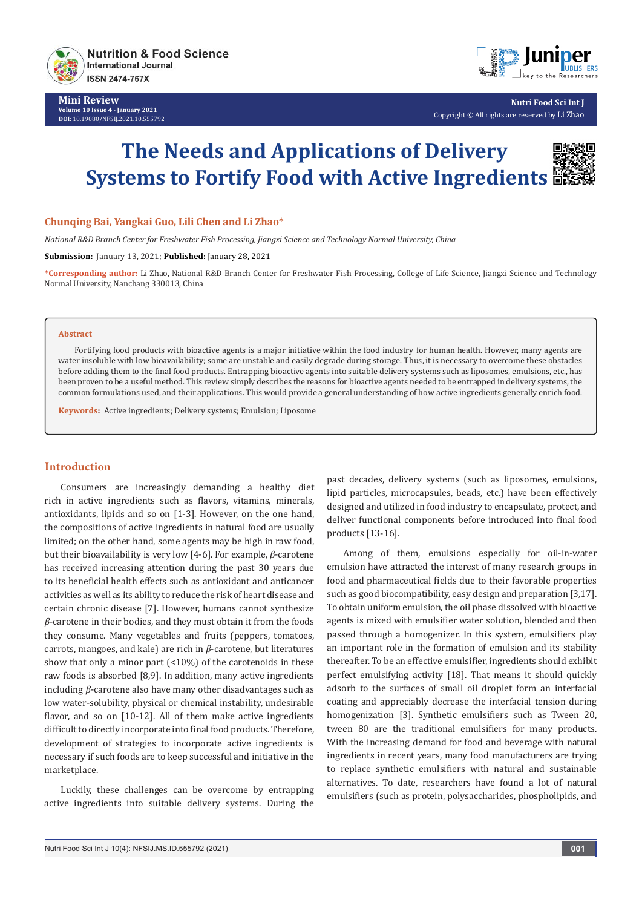

**Mini Review Volume 10 Issue 4 - January 2021 DOI:** [10.19080/NFSIJ.2021.10.5557](http://dx.doi.org/10.19080/NFSIJ.2021.10.555792)92



**Nutri Food Sci Int J** Copyright © All rights are reserved by Li Zhao

# **The Needs and Applications of Delivery Systems to Fortify Food with Active Ingredients**

#### **Chunqing Bai, Yangkai Guo, Lili Chen and Li Zhao\***

*National R&D Branch Center for Freshwater Fish Processing, Jiangxi Science and Technology Normal University, China*

**Submission:** January 13, 2021; **Published:** January 28, 2021

**\*Corresponding author:** Li Zhao, National R&D Branch Center for Freshwater Fish Processing, College of Life Science, Jiangxi Science and Technology Normal University, Nanchang 330013, China

#### **Abstract**

Fortifying food products with bioactive agents is a major initiative within the food industry for human health. However, many agents are water insoluble with low bioavailability; some are unstable and easily degrade during storage. Thus, it is necessary to overcome these obstacles before adding them to the final food products. Entrapping bioactive agents into suitable delivery systems such as liposomes, emulsions, etc., has been proven to be a useful method. This review simply describes the reasons for bioactive agents needed to be entrapped in delivery systems, the common formulations used, and their applications. This would provide a general understanding of how active ingredients generally enrich food.

**Keywords:** Active ingredients; Delivery systems; Emulsion; Liposome

### **Introduction**

Consumers are increasingly demanding a healthy diet rich in active ingredients such as flavors, vitamins, minerals, antioxidants, lipids and so on [1-3]. However, on the one hand, the compositions of active ingredients in natural food are usually limited; on the other hand, some agents may be high in raw food, but their bioavailability is very low [4-6]. For example, *β*-carotene has received increasing attention during the past 30 years due to its beneficial health effects such as antioxidant and anticancer activities as well as its ability to reduce the risk of heart disease and certain chronic disease [7]. However, humans cannot synthesize *β*-carotene in their bodies, and they must obtain it from the foods they consume. Many vegetables and fruits (peppers, tomatoes, carrots, mangoes, and kale) are rich in *β*-carotene, but literatures show that only a minor part (<10%) of the carotenoids in these raw foods is absorbed [8,9]. In addition, many active ingredients including *β*-carotene also have many other disadvantages such as low water-solubility, physical or chemical instability, undesirable flavor, and so on [10-12]. All of them make active ingredients difficult to directly incorporate into final food products. Therefore, development of strategies to incorporate active ingredients is necessary if such foods are to keep successful and initiative in the marketplace.

Luckily, these challenges can be overcome by entrapping active ingredients into suitable delivery systems. During the

past decades, delivery systems (such as liposomes, emulsions, lipid particles, microcapsules, beads, etc.) have been effectively designed and utilized in food industry to encapsulate, protect, and deliver functional components before introduced into final food products [13-16].

Among of them, emulsions especially for oil-in-water emulsion have attracted the interest of many research groups in food and pharmaceutical fields due to their favorable properties such as good biocompatibility, easy design and preparation [3,17]. To obtain uniform emulsion, the oil phase dissolved with bioactive agents is mixed with emulsifier water solution, blended and then passed through a homogenizer. In this system, emulsifiers play an important role in the formation of emulsion and its stability thereafter. To be an effective emulsifier, ingredients should exhibit perfect emulsifying activity [18]. That means it should quickly adsorb to the surfaces of small oil droplet form an interfacial coating and appreciably decrease the interfacial tension during homogenization [3]. Synthetic emulsifiers such as Tween 20, tween 80 are the traditional emulsifiers for many products. With the increasing demand for food and beverage with natural ingredients in recent years, many food manufacturers are trying to replace synthetic emulsifiers with natural and sustainable alternatives. To date, researchers have found a lot of natural emulsifiers (such as protein, polysaccharides, phospholipids, and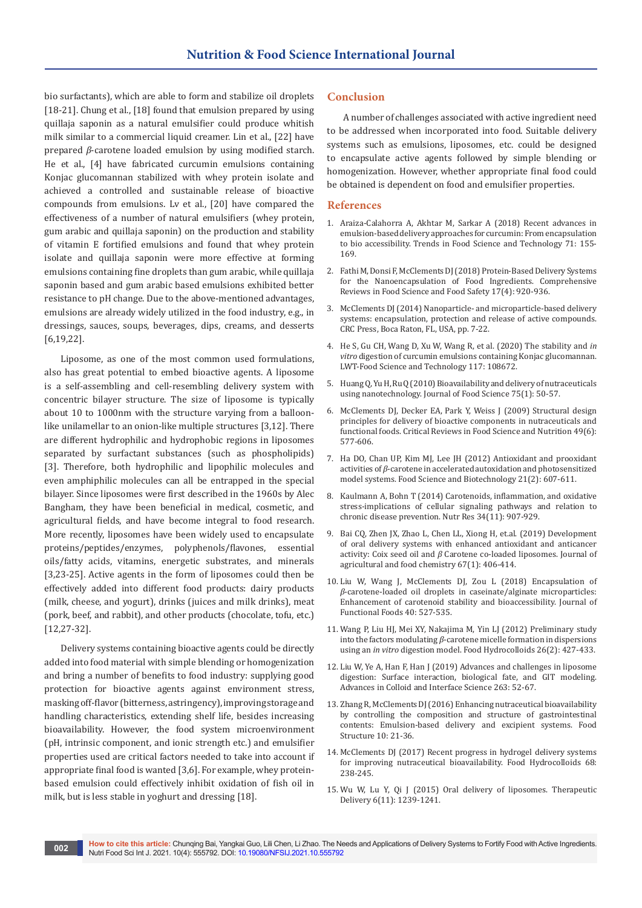bio surfactants), which are able to form and stabilize oil droplets [18-21]. Chung et al., [18] found that emulsion prepared by using quillaja saponin as a natural emulsifier could produce whitish milk similar to a commercial liquid creamer. Lin et al., [22] have prepared *β*-carotene loaded emulsion by using modified starch. He et al., [4] have fabricated curcumin emulsions containing Konjac glucomannan stabilized with whey protein isolate and achieved a controlled and sustainable release of bioactive compounds from emulsions. Lv et al., [20] have compared the effectiveness of a number of natural emulsifiers (whey protein, gum arabic and quillaja saponin) on the production and stability of vitamin E fortified emulsions and found that whey protein isolate and quillaja saponin were more effective at forming emulsions containing fine droplets than gum arabic, while quillaja saponin based and gum arabic based emulsions exhibited better resistance to pH change. Due to the above-mentioned advantages, emulsions are already widely utilized in the food industry, e.g., in dressings, sauces, soups, beverages, dips, creams, and desserts [6,19,22].

Liposome, as one of the most common used formulations, also has great potential to embed bioactive agents. A liposome is a self-assembling and cell-resembling delivery system with concentric bilayer structure. The size of liposome is typically about 10 to 1000nm with the structure varying from a balloonlike unilamellar to an onion-like multiple structures [3,12]. There are different hydrophilic and hydrophobic regions in liposomes separated by surfactant substances (such as phospholipids) [3]. Therefore, both hydrophilic and lipophilic molecules and even amphiphilic molecules can all be entrapped in the special bilayer. Since liposomes were first described in the 1960s by Alec Bangham, they have been beneficial in medical, cosmetic, and agricultural fields, and have become integral to food research. More recently, liposomes have been widely used to encapsulate proteins/peptides/enzymes, polyphenols/flavones, essential oils/fatty acids, vitamins, energetic substrates, and minerals [3,23-25]. Active agents in the form of liposomes could then be effectively added into different food products: dairy products (milk, cheese, and yogurt), drinks (juices and milk drinks), meat (pork, beef, and rabbit), and other products (chocolate, tofu, etc.) [12,27-32].

Delivery systems containing bioactive agents could be directly added into food material with simple blending or homogenization and bring a number of benefits to food industry: supplying good protection for bioactive agents against environment stress, masking off-flavor (bitterness, astringency), improving storage and handling characteristics, extending shelf life, besides increasing bioavailability. However, the food system microenvironment (pH, intrinsic component, and ionic strength etc.) and emulsifier properties used are critical factors needed to take into account if appropriate final food is wanted [3,6]. For example, whey proteinbased emulsion could effectively inhibit oxidation of fish oil in milk, but is less stable in yoghurt and dressing [18].

### **Conclusion**

A number of challenges associated with active ingredient need to be addressed when incorporated into food. Suitable delivery systems such as emulsions, liposomes, etc. could be designed to encapsulate active agents followed by simple blending or homogenization. However, whether appropriate final food could be obtained is dependent on food and emulsifier properties.

#### **References**

- 1. [Araiza-Calahorra A, Akhtar M, Sarkar A \(2018\) Recent advances in](https://www.sciencedirect.com/science/article/abs/pii/S0924224417304387)  [emulsion-based delivery approaches for curcumin: From encapsulation](https://www.sciencedirect.com/science/article/abs/pii/S0924224417304387)  [to bio accessibility. Trends in Food Science and Technology 71: 155-](https://www.sciencedirect.com/science/article/abs/pii/S0924224417304387) [169.](https://www.sciencedirect.com/science/article/abs/pii/S0924224417304387)
- 2. [Fathi M, Donsi F, McClements DJ \(2018\) Protein-Based Delivery Systems](https://onlinelibrary.wiley.com/doi/full/10.1111/1541-4337.12360)  [for the Nanoencapsulation of Food Ingredients. Comprehensive](https://onlinelibrary.wiley.com/doi/full/10.1111/1541-4337.12360)  [Reviews in Food Science and Food Safety 17\(4\): 920-936.](https://onlinelibrary.wiley.com/doi/full/10.1111/1541-4337.12360)
- 3. McClements DJ (2014) Nanoparticle- and microparticle-based delivery systems: encapsulation, protection and release of active compounds. CRC Press, Boca Raton, FL, USA, pp. 7-22.
- 4. He S, Gu CH, Wang D, Xu W, Wang R, et al. (2020) The stability and *in vitro* digestion of curcumin emulsions containing Konjac glucomannan. LWT-Food Science and Technology 117: 108672.
- 5. [Huang Q, Yu H, Ru Q \(2010\) Bioavailability and delivery of nutraceuticals](https://pubmed.ncbi.nlm.nih.gov/20492195/)  [using nanotechnology. Journal of Food Science 75\(1\): 50-57.](https://pubmed.ncbi.nlm.nih.gov/20492195/)
- 6. [McClements DJ, Decker EA, Park Y, Weiss J \(2009\) Structural design](https://pubmed.ncbi.nlm.nih.gov/19484636/)  [principles for delivery of bioactive components in nutraceuticals and](https://pubmed.ncbi.nlm.nih.gov/19484636/)  [functional foods. Critical Reviews in Food Science and Nutrition 49\(6\):](https://pubmed.ncbi.nlm.nih.gov/19484636/)  [577-606.](https://pubmed.ncbi.nlm.nih.gov/19484636/)
- 7. [Ha DO, Chan UP, Kim MJ, Lee JH \(2012\) Antioxidant and prooxidant](https://link.springer.com/article/10.1007/s10068-012-0078-1)  activities of *β*[-carotene in accelerated autoxidation and photosensitized](https://link.springer.com/article/10.1007/s10068-012-0078-1)  [model systems. Food Science and Biotechnology 21\(2\): 607-611.](https://link.springer.com/article/10.1007/s10068-012-0078-1)
- 8. [Kaulmann A, Bohn T \(2014\) Carotenoids, inflammation, and oxidative](https://pubmed.ncbi.nlm.nih.gov/25134454/)  [stress-implications of cellular signaling pathways and relation to](https://pubmed.ncbi.nlm.nih.gov/25134454/)  [chronic disease prevention. Nutr Res 34\(11\): 907-929.](https://pubmed.ncbi.nlm.nih.gov/25134454/)
- 9. [Bai CQ, Zhen JX, Zhao L, Chen LL, Xiong H, et.al. \(2019\) Development](https://pubs.acs.org/doi/abs/10.1021/acs.jafc.8b04879)  [of oral delivery systems with enhanced antioxidant and anticancer](https://pubs.acs.org/doi/abs/10.1021/acs.jafc.8b04879)  activity: Coix seed oil and *β* [Carotene co-loaded liposomes. Journal of](https://pubs.acs.org/doi/abs/10.1021/acs.jafc.8b04879)  [agricultural and food chemistry 67\(1\): 406-414.](https://pubs.acs.org/doi/abs/10.1021/acs.jafc.8b04879)
- 10. [Liu W, Wang J, McClements DJ, Zou L \(2018\) Encapsulation of](https://www.sciencedirect.com/science/article/abs/pii/S1756464617307181)  *β*[-carotene-loaded oil droplets in caseinate/alginate microparticles:](https://www.sciencedirect.com/science/article/abs/pii/S1756464617307181)  [Enhancement of carotenoid stability and bioaccessibility. Journal of](https://www.sciencedirect.com/science/article/abs/pii/S1756464617307181)  [Functional Foods 40: 527-535.](https://www.sciencedirect.com/science/article/abs/pii/S1756464617307181)
- 11. [Wang P, Liu HJ, Mei XY, Nakajima M, Yin LJ \(2012\) Preliminary study](https://www.sciencedirect.com/science/article/abs/pii/S0268005X10002730)  into the factors modulating *β*[-carotene micelle formation in dispersions](https://www.sciencedirect.com/science/article/abs/pii/S0268005X10002730)  using an *in vitro* [digestion model. Food Hydrocolloids 26\(2\): 427-433.](https://www.sciencedirect.com/science/article/abs/pii/S0268005X10002730)
- 12. [Liu W, Ye A, Han F, Han J \(2019\) Advances and challenges in liposome](https://www.sciencedirect.com/science/article/abs/pii/S0001868618302811)  [digestion: Surface interaction, biological fate, and GIT modeling.](https://www.sciencedirect.com/science/article/abs/pii/S0001868618302811)  [Advances in Colloid and Interface Science 263: 52-67.](https://www.sciencedirect.com/science/article/abs/pii/S0001868618302811)
- 13. [Zhang R, McClements DJ \(2016\) Enhancing nutraceutical bioavailability](https://www.sciencedirect.com/science/article/abs/pii/S2213329116300181)  [by controlling the composition and structure of gastrointestinal](https://www.sciencedirect.com/science/article/abs/pii/S2213329116300181)  [contents: Emulsion-based delivery and excipient systems. Food](https://www.sciencedirect.com/science/article/abs/pii/S2213329116300181)  [Structure 10: 21-36.](https://www.sciencedirect.com/science/article/abs/pii/S2213329116300181)
- 14. [McClements DJ \(2017\) Recent progress in hydrogel delivery systems](https://www.sciencedirect.com/science/article/abs/pii/S0268005X16302454)  [for improving nutraceutical bioavailability. Food Hydrocolloids 68:](https://www.sciencedirect.com/science/article/abs/pii/S0268005X16302454)  [238-245.](https://www.sciencedirect.com/science/article/abs/pii/S0268005X16302454)
- 15. [Wu W, Lu Y, Qi J \(2015\) Oral delivery of liposomes. Therapeutic](https://www.future-science.com/doi/full/10.4155/tde.15.69)  [Delivery 6\(11\): 1239-1241.](https://www.future-science.com/doi/full/10.4155/tde.15.69)